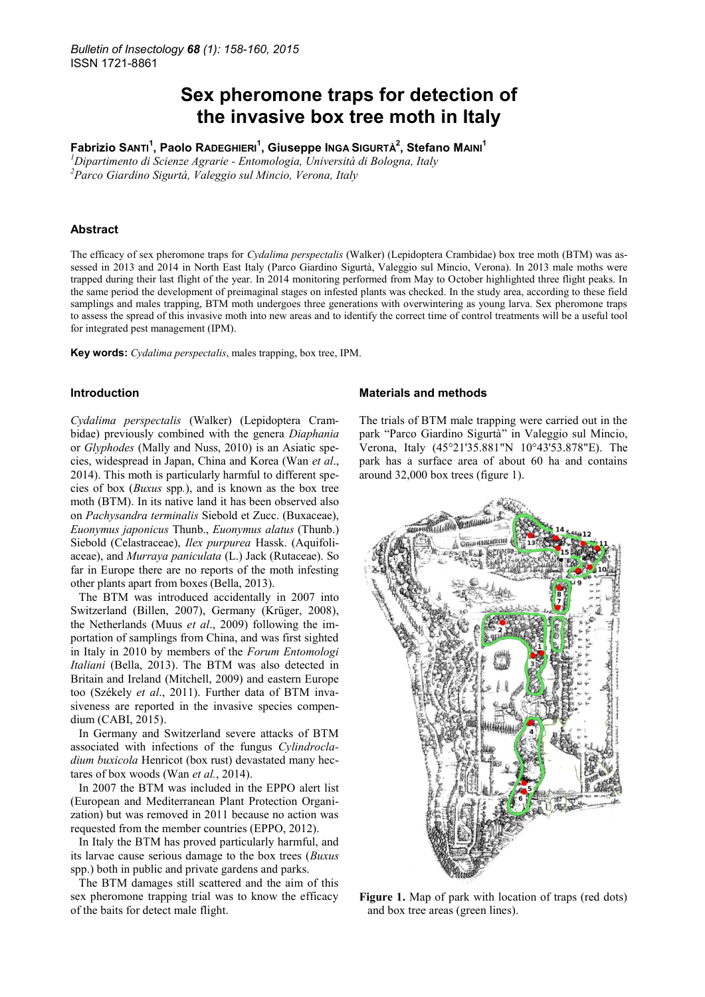# **Sex pheromone traps for detection of the invasive box tree moth in Italy**

**Fabrizio SANTI<sup>1</sup> , Paolo RADEGHIERI<sup>1</sup> , Giuseppe INGA SIGURTÀ<sup>2</sup> , Stefano MAINI<sup>1</sup>**

*<sup>1</sup>Dipartimento di Scienze Agrarie - Entomologia, Università di Bologna, Italy <sup>2</sup>Parco Giardino Sigurtà, Valeggio sul Mincio, Verona, Italy* 

# **Abstract**

The efficacy of sex pheromone traps for *Cydalima perspectalis* (Walker) (Lepidoptera Crambidae) box tree moth (BTM) was assessed in 2013 and 2014 in North East Italy (Parco Giardino Sigurtà, Valeggio sul Mincio, Verona). In 2013 male moths were trapped during their last flight of the year. In 2014 monitoring performed from May to October highlighted three flight peaks. In the same period the development of preimaginal stages on infested plants was checked. In the study area, according to these field samplings and males trapping, BTM moth undergoes three generations with overwintering as young larva. Sex pheromone traps to assess the spread of this invasive moth into new areas and to identify the correct time of control treatments will be a useful tool for integrated pest management (IPM).

**Key words:** *Cydalima perspectalis*, males trapping, box tree, IPM.

## **Introduction**

*Cydalima perspectalis* (Walker) (Lepidoptera Crambidae) previously combined with the genera *Diaphania* or *Glyphodes* (Mally and Nuss, 2010) is an Asiatic species, widespread in Japan, China and Korea (Wan *et al*., 2014). This moth is particularly harmful to different species of box (*Buxus* spp*.*), and is known as the box tree moth (BTM). In its native land it has been observed also on *Pachysandra terminalis* Siebold et Zucc. (Buxaceae), *Euonymus japonicus* Thunb., *Euonymus alatus* (Thunb.) Siebold (Celastraceae), *Ilex purpurea* Hassk. (Aquifoliaceae), and *Murraya paniculata* (L.) Jack (Rutaceae). So far in Europe there are no reports of the moth infesting other plants apart from boxes (Bella, 2013).

The BTM was introduced accidentally in 2007 into Switzerland (Billen, 2007), Germany (Krüger, 2008), the Netherlands (Muus *et al*., 2009) following the importation of samplings from China, and was first sighted in Italy in 2010 by members of the *Forum Entomologi Italiani* (Bella, 2013). The BTM was also detected in Britain and Ireland (Mitchell, 2009) and eastern Europe too (Székely *et al*., 2011). Further data of BTM invasiveness are reported in the invasive species compendium (CABI, 2015).

In Germany and Switzerland severe attacks of BTM associated with infections of the fungus *Cylindrocladium buxicola* Henricot (box rust) devastated many hectares of box woods (Wan *et al.*, 2014).

In 2007 the BTM was included in the EPPO alert list (European and Mediterranean Plant Protection Organization) but was removed in 2011 because no action was requested from the member countries (EPPO, 2012).

In Italy the BTM has proved particularly harmful, and its larvae cause serious damage to the box trees (*Buxus* spp.) both in public and private gardens and parks.

The BTM damages still scattered and the aim of this sex pheromone trapping trial was to know the efficacy of the baits for detect male flight.

#### **Materials and methods**

The trials of BTM male trapping were carried out in the park "Parco Giardino Sigurtà" in Valeggio sul Mincio, Verona, Italy (45°21'35.881"N 10°43'53.878"E). The park has a surface area of about 60 ha and contains around 32,000 box trees (figure 1).



**Figure 1.** Map of park with location of traps (red dots) and box tree areas (green lines).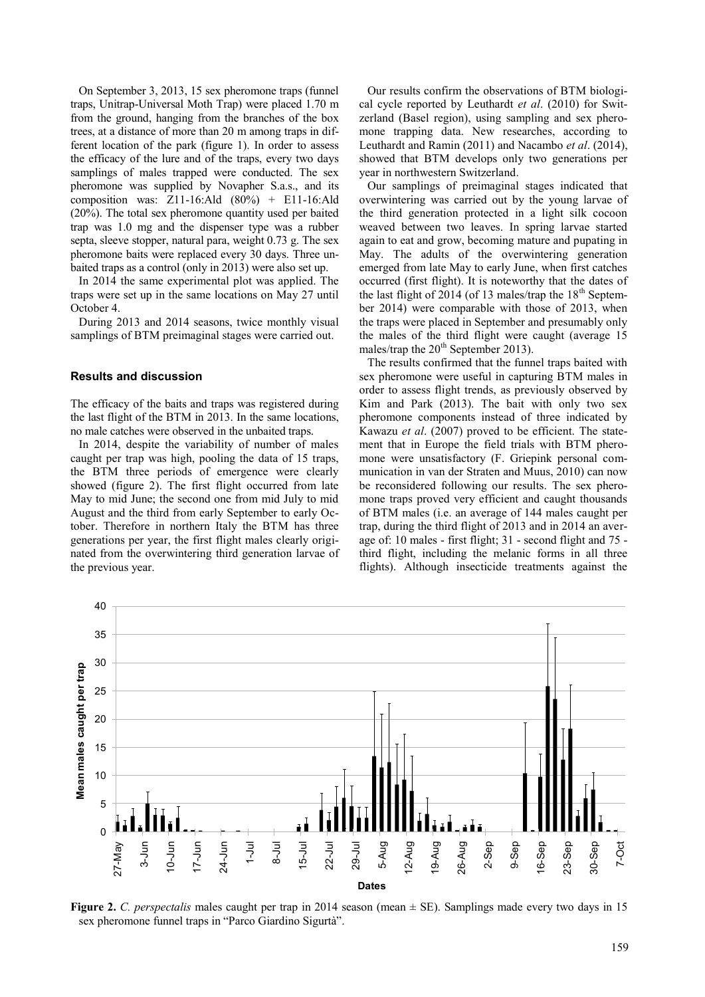On September 3, 2013, 15 sex pheromone traps (funnel traps, Unitrap-Universal Moth Trap) were placed 1.70 m from the ground, hanging from the branches of the box trees, at a distance of more than 20 m among traps in different location of the park (figure 1). In order to assess the efficacy of the lure and of the traps, every two days samplings of males trapped were conducted. The sex pheromone was supplied by Novapher S.a.s., and its composition was: Z11-16:Ald (80%) + E11-16:Ald (20%). The total sex pheromone quantity used per baited trap was 1.0 mg and the dispenser type was a rubber septa, sleeve stopper, natural para, weight 0.73 g. The sex pheromone baits were replaced every 30 days. Three unbaited traps as a control (only in 2013) were also set up.

In 2014 the same experimental plot was applied. The traps were set up in the same locations on May 27 until October 4.

During 2013 and 2014 seasons, twice monthly visual samplings of BTM preimaginal stages were carried out.

# **Results and discussion**

The efficacy of the baits and traps was registered during the last flight of the BTM in 2013. In the same locations, no male catches were observed in the unbaited traps.

In 2014, despite the variability of number of males caught per trap was high, pooling the data of 15 traps, the BTM three periods of emergence were clearly showed (figure 2). The first flight occurred from late May to mid June; the second one from mid July to mid August and the third from early September to early October. Therefore in northern Italy the BTM has three generations per year, the first flight males clearly originated from the overwintering third generation larvae of the previous year.

Our results confirm the observations of BTM biological cycle reported by Leuthardt *et al*. (2010) for Switzerland (Basel region), using sampling and sex pheromone trapping data. New researches, according to Leuthardt and Ramin (2011) and Nacambo *et al*. (2014), showed that BTM develops only two generations per year in northwestern Switzerland.

Our samplings of preimaginal stages indicated that overwintering was carried out by the young larvae of the third generation protected in a light silk cocoon weaved between two leaves. In spring larvae started again to eat and grow, becoming mature and pupating in May. The adults of the overwintering generation emerged from late May to early June, when first catches occurred (first flight). It is noteworthy that the dates of the last flight of 2014 (of 13 males/trap the  $18<sup>th</sup>$  September 2014) were comparable with those of 2013, when the traps were placed in September and presumably only the males of the third flight were caught (average 15 males/trap the  $20^{th}$  September 2013).

The results confirmed that the funnel traps baited with sex pheromone were useful in capturing BTM males in order to assess flight trends, as previously observed by Kim and Park (2013). The bait with only two sex pheromone components instead of three indicated by Kawazu *et al*. (2007) proved to be efficient. The statement that in Europe the field trials with BTM pheromone were unsatisfactory (F. Griepink personal communication in van der Straten and Muus, 2010) can now be reconsidered following our results. The sex pheromone traps proved very efficient and caught thousands of BTM males (i.e. an average of 144 males caught per trap, during the third flight of 2013 and in 2014 an average of: 10 males - first flight; 31 - second flight and 75 third flight, including the melanic forms in all three flights). Although insecticide treatments against the



**Figure 2.** *C. perspectalis* males caught per trap in 2014 season (mean ± SE). Samplings made every two days in 15 sex pheromone funnel traps in "Parco Giardino Sigurtà".